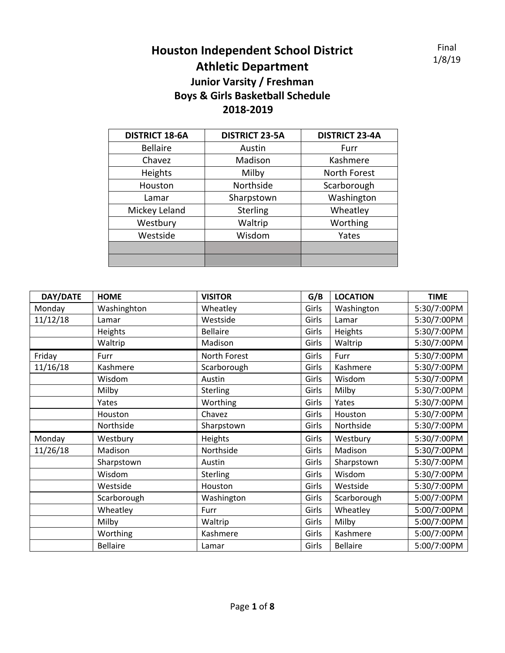Final 1/8/19

## **Houston Independent School District Athletic Department Junior Varsity / Freshman Boys & Girls Basketball Schedule**

## **2018-2019**

| <b>DISTRICT 18-6A</b> | <b>DISTRICT 23-5A</b> | <b>DISTRICT 23-4A</b> |
|-----------------------|-----------------------|-----------------------|
| <b>Bellaire</b>       | Austin                | Furr                  |
| Chavez                | Madison               | Kashmere              |
| Heights               | Milby                 | North Forest          |
| Houston               | Northside             | Scarborough           |
| Lamar                 | Sharpstown            | Washington            |
| Mickey Leland         | Sterling              | Wheatley              |
| Westbury              | Waltrip               | Worthing              |
| Westside              | Wisdom                | Yates                 |
|                       |                       |                       |
|                       |                       |                       |

| DAY/DATE | <b>HOME</b>     | <b>VISITOR</b>  | G/B   | <b>LOCATION</b> | <b>TIME</b> |
|----------|-----------------|-----------------|-------|-----------------|-------------|
| Monday   | Washinghton     | Wheatley        | Girls | Washington      | 5:30/7:00PM |
| 11/12/18 | Lamar           | Westside        | Girls | Lamar           | 5:30/7:00PM |
|          | Heights         | <b>Bellaire</b> | Girls | Heights         | 5:30/7:00PM |
|          | Waltrip         | Madison         | Girls | Waltrip         | 5:30/7:00PM |
| Friday   | Furr            | North Forest    | Girls | Furr            | 5:30/7:00PM |
| 11/16/18 | Kashmere        | Scarborough     | Girls | Kashmere        | 5:30/7:00PM |
|          | Wisdom          | Austin          | Girls | Wisdom          | 5:30/7:00PM |
|          | Milby           | <b>Sterling</b> | Girls | Milby           | 5:30/7:00PM |
|          | Yates           | Worthing        | Girls | Yates           | 5:30/7:00PM |
|          | Houston         | Chavez          | Girls | Houston         | 5:30/7:00PM |
|          | Northside       | Sharpstown      | Girls | Northside       | 5:30/7:00PM |
| Monday   | Westbury        | Heights         | Girls | Westbury        | 5:30/7:00PM |
| 11/26/18 | Madison         | Northside       | Girls | Madison         | 5:30/7:00PM |
|          | Sharpstown      | Austin          | Girls | Sharpstown      | 5:30/7:00PM |
|          | Wisdom          | <b>Sterling</b> | Girls | Wisdom          | 5:30/7:00PM |
|          | Westside        | Houston         | Girls | Westside        | 5:30/7:00PM |
|          | Scarborough     | Washington      | Girls | Scarborough     | 5:00/7:00PM |
|          | Wheatley        | Furr            | Girls | Wheatley        | 5:00/7:00PM |
|          | Milby           | Waltrip         | Girls | Milby           | 5:00/7:00PM |
|          | Worthing        | Kashmere        | Girls | Kashmere        | 5:00/7:00PM |
|          | <b>Bellaire</b> | Lamar           | Girls | <b>Bellaire</b> | 5:00/7:00PM |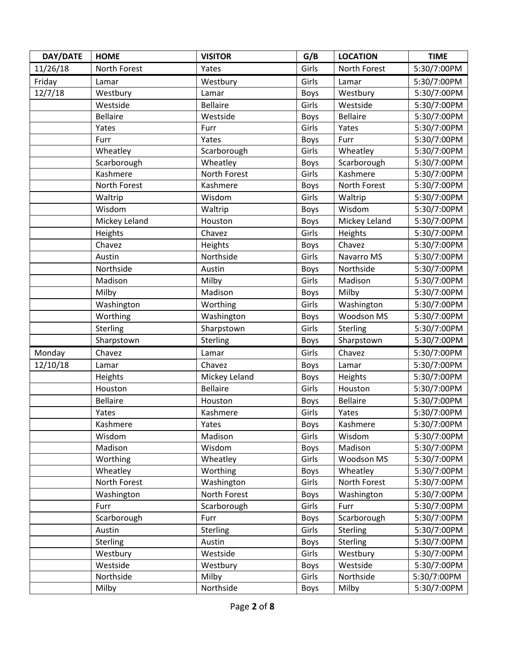| DAY/DATE | <b>HOME</b>     | <b>VISITOR</b>  | G/B         | <b>LOCATION</b> | <b>TIME</b> |
|----------|-----------------|-----------------|-------------|-----------------|-------------|
| 11/26/18 | North Forest    | Yates           | Girls       | North Forest    | 5:30/7:00PM |
| Friday   | Lamar           | Westbury        | Girls       | Lamar           | 5:30/7:00PM |
| 12/7/18  | Westbury        | Lamar           | <b>Boys</b> | Westbury        | 5:30/7:00PM |
|          | Westside        | <b>Bellaire</b> | Girls       | Westside        | 5:30/7:00PM |
|          | <b>Bellaire</b> | Westside        | <b>Boys</b> | <b>Bellaire</b> | 5:30/7:00PM |
|          | Yates           | Furr            | Girls       | Yates           | 5:30/7:00PM |
|          | Furr            | Yates           | <b>Boys</b> | Furr            | 5:30/7:00PM |
|          | Wheatley        | Scarborough     | Girls       | Wheatley        | 5:30/7:00PM |
|          | Scarborough     | Wheatley        | <b>Boys</b> | Scarborough     | 5:30/7:00PM |
|          | Kashmere        | North Forest    | Girls       | Kashmere        | 5:30/7:00PM |
|          | North Forest    | Kashmere        | <b>Boys</b> | North Forest    | 5:30/7:00PM |
|          | Waltrip         | Wisdom          | Girls       | Waltrip         | 5:30/7:00PM |
|          | Wisdom          | Waltrip         | <b>Boys</b> | Wisdom          | 5:30/7:00PM |
|          | Mickey Leland   | Houston         | <b>Boys</b> | Mickey Leland   | 5:30/7:00PM |
|          | Heights         | Chavez          | Girls       | Heights         | 5:30/7:00PM |
|          | Chavez          | Heights         | <b>Boys</b> | Chavez          | 5:30/7:00PM |
|          | Austin          | Northside       | Girls       | Navarro MS      | 5:30/7:00PM |
|          | Northside       | Austin          | Boys        | Northside       | 5:30/7:00PM |
|          | Madison         | Milby           | Girls       | Madison         | 5:30/7:00PM |
|          | Milby           | Madison         | <b>Boys</b> | Milby           | 5:30/7:00PM |
|          | Washington      | Worthing        | Girls       | Washington      | 5:30/7:00PM |
|          | Worthing        | Washington      | <b>Boys</b> | Woodson MS      | 5:30/7:00PM |
|          | Sterling        | Sharpstown      | Girls       | Sterling        | 5:30/7:00PM |
|          | Sharpstown      | Sterling        | <b>Boys</b> | Sharpstown      | 5:30/7:00PM |
| Monday   | Chavez          | Lamar           | Girls       | Chavez          | 5:30/7:00PM |
| 12/10/18 | Lamar           | Chavez          | <b>Boys</b> | Lamar           | 5:30/7:00PM |
|          | Heights         | Mickey Leland   | <b>Boys</b> | Heights         | 5:30/7:00PM |
|          | Houston         | <b>Bellaire</b> | Girls       | Houston         | 5:30/7:00PM |
|          | <b>Bellaire</b> | Houston         | <b>Boys</b> | <b>Bellaire</b> | 5:30/7:00PM |
|          | Yates           | Kashmere        | Girls       | Yates           | 5:30/7:00PM |
|          | Kashmere        | Yates           | <b>Boys</b> | Kashmere        | 5:30/7:00PM |
|          | Wisdom          | Madison         | Girls       | Wisdom          | 5:30/7:00PM |
|          | Madison         | Wisdom          | <b>Boys</b> | Madison         | 5:30/7:00PM |
|          | Worthing        | Wheatley        | Girls       | Woodson MS      | 5:30/7:00PM |
|          | Wheatley        | Worthing        | <b>Boys</b> | Wheatley        | 5:30/7:00PM |
|          | North Forest    | Washington      | Girls       | North Forest    | 5:30/7:00PM |
|          | Washington      | North Forest    | <b>Boys</b> | Washington      | 5:30/7:00PM |
|          | Furr            | Scarborough     | Girls       | Furr            | 5:30/7:00PM |
|          | Scarborough     | Furr            | <b>Boys</b> | Scarborough     | 5:30/7:00PM |
|          | Austin          | Sterling        | Girls       | Sterling        | 5:30/7:00PM |
|          | Sterling        | Austin          | <b>Boys</b> | <b>Sterling</b> | 5:30/7:00PM |
|          | Westbury        | Westside        | Girls       | Westbury        | 5:30/7:00PM |
|          | Westside        | Westbury        | <b>Boys</b> | Westside        | 5:30/7:00PM |
|          | Northside       | Milby           | Girls       | Northside       | 5:30/7:00PM |
|          | Milby           | Northside       | <b>Boys</b> | Milby           | 5:30/7:00PM |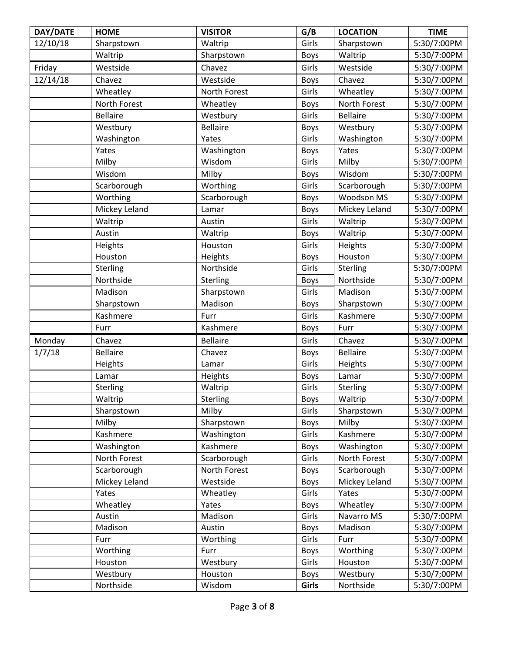| DAY/DATE | <b>HOME</b>     | <b>VISITOR</b>  | G/B         | <b>LOCATION</b> | <b>TIME</b> |
|----------|-----------------|-----------------|-------------|-----------------|-------------|
| 12/10/18 | Sharpstown      | Waltrip         | Girls       | Sharpstown      | 5:30/7:00PM |
|          | Waltrip         | Sharpstown      | <b>Boys</b> | Waltrip         | 5:30/7:00PM |
| Friday   | Westside        | Chavez          | Girls       | Westside        | 5:30/7:00PM |
| 12/14/18 | Chavez          | Westside        | <b>Boys</b> | Chavez          | 5:30/7:00PM |
|          | Wheatley        | North Forest    | Girls       | Wheatley        | 5:30/7:00PM |
|          | North Forest    | Wheatley        | <b>Boys</b> | North Forest    | 5:30/7:00PM |
|          | <b>Bellaire</b> | Westbury        | Girls       | <b>Bellaire</b> | 5:30/7:00PM |
|          | Westbury        | <b>Bellaire</b> | Boys        | Westbury        | 5:30/7:00PM |
|          | Washington      | Yates           | Girls       | Washington      | 5:30/7:00PM |
|          | Yates           | Washington      | <b>Boys</b> | Yates           | 5:30/7:00PM |
|          | Milby           | Wisdom          | Girls       | Milby           | 5:30/7:00PM |
|          | Wisdom          | Milby           | <b>Boys</b> | Wisdom          | 5:30/7:00PM |
|          | Scarborough     | Worthing        | Girls       | Scarborough     | 5:30/7:00PM |
|          | Worthing        | Scarborough     | <b>Boys</b> | Woodson MS      | 5:30/7:00PM |
|          | Mickey Leland   | Lamar           | <b>Boys</b> | Mickey Leland   | 5:30/7:00PM |
|          | Waltrip         | Austin          | Girls       | Waltrip         | 5:30/7:00PM |
|          | Austin          | Waltrip         | <b>Boys</b> | Waltrip         | 5:30/7:00PM |
|          | Heights         | Houston         | Girls       | Heights         | 5:30/7:00PM |
|          | Houston         | Heights         | <b>Boys</b> | Houston         | 5:30/7:00PM |
|          | Sterling        | Northside       | Girls       | Sterling        | 5:30/7:00PM |
|          | Northside       | Sterling        | <b>Boys</b> | Northside       | 5:30/7:00PM |
|          | Madison         | Sharpstown      | Girls       | Madison         | 5:30/7:00PM |
|          | Sharpstown      | Madison         | <b>Boys</b> | Sharpstown      | 5:30/7:00PM |
|          | Kashmere        | Furr            | Girls       | Kashmere        | 5:30/7:00PM |
|          | Furr            | Kashmere        | <b>Boys</b> | Furr            | 5:30/7:00PM |
| Monday   | Chavez          | Bellaire        | Girls       | Chavez          | 5:30/7:00PM |
| 1/7/18   | <b>Bellaire</b> | Chavez          | Boys        | <b>Bellaire</b> | 5:30/7:00PM |
|          | Heights         | Lamar           | Girls       | Heights         | 5:30/7:00PM |
|          | Lamar           | Heights         | <b>Boys</b> | Lamar           | 5:30/7:00PM |
|          | Sterling        | Waltrip         | Girls       | Sterling        | 5:30/7:00PM |
|          | Waltrip         | <b>Sterling</b> | <b>Boys</b> | Waltrip         | 5:30/7:00PM |
|          | Sharpstown      | Milby           | Girls       | Sharpstown      | 5:30/7:00PM |
|          | Milby           | Sharpstown      | <b>Boys</b> | Milby           | 5:30/7:00PM |
|          | Kashmere        | Washington      | Girls       | Kashmere        | 5:30/7:00PM |
|          | Washington      | Kashmere        | <b>Boys</b> | Washington      | 5:30/7:00PM |
|          | North Forest    | Scarborough     | Girls       | North Forest    | 5:30/7:00PM |
|          | Scarborough     | North Forest    | <b>Boys</b> | Scarborough     | 5:30/7:00PM |
|          | Mickey Leland   | Westside        | <b>Boys</b> | Mickey Leland   | 5:30/7:00PM |
|          | Yates           | Wheatley        | Girls       | Yates           | 5:30/7:00PM |
|          | Wheatley        | Yates           | <b>Boys</b> | Wheatley        | 5:30/7:00PM |
|          | Austin          | Madison         | Girls       | Navarro MS      | 5:30/7:00PM |
|          | Madison         | Austin          | <b>Boys</b> | Madison         | 5:30/7:00PM |
|          | Furr            | Worthing        | Girls       | Furr            | 5:30/7:00PM |
|          | Worthing        | Furr            | <b>Boys</b> | Worthing        | 5:30/7:00PM |
|          | Houston         | Westbury        | Girls       | Houston         | 5:30/7:00PM |
|          | Westbury        | Houston         | <b>Boys</b> | Westbury        | 5:30/7;00PM |
|          | Northside       | Wisdom          | Girls       | Northside       | 5:30/7:00PM |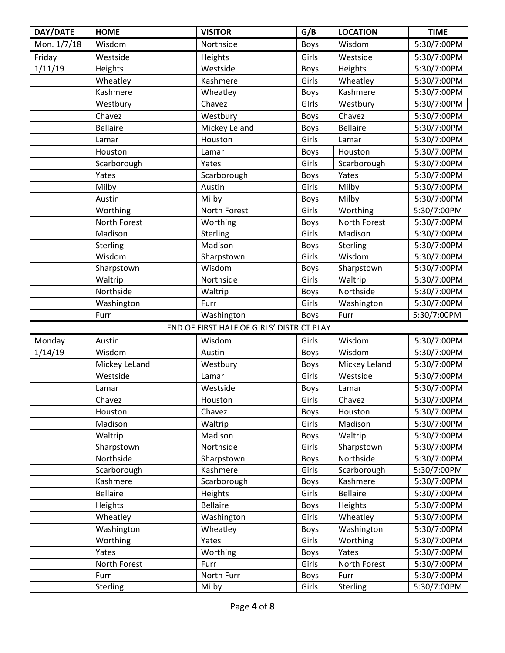| DAY/DATE    | <b>HOME</b>     | <b>VISITOR</b>                            | G/B         | <b>LOCATION</b> | <b>TIME</b> |
|-------------|-----------------|-------------------------------------------|-------------|-----------------|-------------|
| Mon. 1/7/18 | Wisdom          | Northside                                 | <b>Boys</b> | Wisdom          | 5:30/7:00PM |
| Friday      | Westside        | Heights                                   | Girls       | Westside        | 5:30/7:00PM |
| 1/11/19     | Heights         | Westside                                  | <b>Boys</b> | Heights         | 5:30/7:00PM |
|             | Wheatley        | Kashmere                                  | Girls       | Wheatley        | 5:30/7:00PM |
|             | Kashmere        | Wheatley                                  | Boys        | Kashmere        | 5:30/7:00PM |
|             | Westbury        | Chavez                                    | Girls       | Westbury        | 5:30/7:00PM |
|             | Chavez          | Westbury                                  | <b>Boys</b> | Chavez          | 5:30/7:00PM |
|             | <b>Bellaire</b> | Mickey Leland                             | <b>Boys</b> | <b>Bellaire</b> | 5:30/7:00PM |
|             | Lamar           | Houston                                   | Girls       | Lamar           | 5:30/7:00PM |
|             | Houston         | Lamar                                     | Boys        | Houston         | 5:30/7:00PM |
|             | Scarborough     | Yates                                     | Girls       | Scarborough     | 5:30/7:00PM |
|             | Yates           | Scarborough                               | <b>Boys</b> | Yates           | 5:30/7:00PM |
|             | Milby           | Austin                                    | Girls       | Milby           | 5:30/7:00PM |
|             | Austin          | Milby                                     | <b>Boys</b> | Milby           | 5:30/7:00PM |
|             | Worthing        | North Forest                              | Girls       | Worthing        | 5:30/7:00PM |
|             | North Forest    | Worthing                                  | <b>Boys</b> | North Forest    | 5:30/7:00PM |
|             | Madison         | Sterling                                  | Girls       | Madison         | 5:30/7:00PM |
|             | Sterling        | Madison                                   | <b>Boys</b> | Sterling        | 5:30/7:00PM |
|             | Wisdom          | Sharpstown                                | Girls       | Wisdom          | 5:30/7:00PM |
|             | Sharpstown      | Wisdom                                    | <b>Boys</b> | Sharpstown      | 5:30/7:00PM |
|             | Waltrip         | Northside                                 | Girls       | Waltrip         | 5:30/7:00PM |
|             | Northside       | Waltrip                                   | <b>Boys</b> | Northside       | 5:30/7:00PM |
|             | Washington      | Furr                                      | Girls       | Washington      | 5:30/7:00PM |
|             | Furr            | Washington                                | Boys        | Furr            | 5:30/7:00PM |
|             |                 | END OF FIRST HALF OF GIRLS' DISTRICT PLAY |             |                 |             |
| Monday      | Austin          | Wisdom                                    | Girls       | Wisdom          | 5:30/7:00PM |
| 1/14/19     | Wisdom          | Austin                                    | <b>Boys</b> | Wisdom          | 5:30/7:00PM |
|             | Mickey LeLand   | Westbury                                  | Boys        | Mickey Leland   | 5:30/7:00PM |
|             | Westside        | Lamar                                     | Girls       | Westside        | 5:30/7:00PM |
|             | Lamar           | Westside                                  | <b>Boys</b> | Lamar           | 5:30/7:00PM |
|             | Chavez          | Houston                                   | Girls       | Chavez          | 5:30/7:00PM |
|             | Houston         | Chavez                                    | Boys        | Houston         | 5:30/7:00PM |
|             | Madison         | Waltrip                                   | Girls       | Madison         | 5:30/7:00PM |
|             | Waltrip         | Madison                                   | <b>Boys</b> | Waltrip         | 5:30/7:00PM |
|             | Sharpstown      | Northside                                 | Girls       | Sharpstown      | 5:30/7:00PM |
|             | Northside       | Sharpstown                                | <b>Boys</b> | Northside       | 5:30/7:00PM |
|             | Scarborough     | Kashmere                                  | Girls       | Scarborough     | 5:30/7:00PM |
|             | Kashmere        | Scarborough                               | <b>Boys</b> | Kashmere        | 5:30/7:00PM |
|             | <b>Bellaire</b> | Heights                                   | Girls       | <b>Bellaire</b> | 5:30/7:00PM |
|             | Heights         | <b>Bellaire</b>                           | <b>Boys</b> | Heights         | 5:30/7:00PM |
|             | Wheatley        | Washington                                | Girls       | Wheatley        | 5:30/7:00PM |
|             | Washington      | Wheatley                                  | Boys        | Washington      | 5:30/7:00PM |
|             | Worthing        | Yates                                     | Girls       | Worthing        | 5:30/7:00PM |
|             | Yates           | Worthing                                  | <b>Boys</b> | Yates           | 5:30/7:00PM |
|             | North Forest    | Furr                                      | Girls       | North Forest    | 5:30/7:00PM |
|             | Furr            | North Furr                                | <b>Boys</b> | Furr            | 5:30/7:00PM |
|             | <b>Sterling</b> | Milby                                     | Girls       | <b>Sterling</b> | 5:30/7:00PM |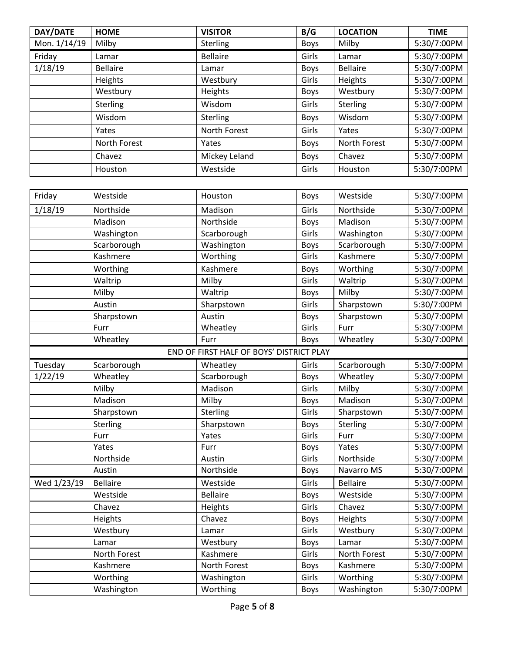| DAY/DATE     | <b>HOME</b>     | <b>VISITOR</b>  | B/G         | <b>LOCATION</b> | <b>TIME</b> |
|--------------|-----------------|-----------------|-------------|-----------------|-------------|
| Mon. 1/14/19 | Milby           | Sterling        | <b>Boys</b> | Milby           | 5:30/7:00PM |
| Friday       | Lamar           | <b>Bellaire</b> | Girls       | Lamar           | 5:30/7:00PM |
| 1/18/19      | <b>Bellaire</b> | Lamar           | <b>Boys</b> | <b>Bellaire</b> | 5:30/7:00PM |
|              | Heights         | Westbury        | Girls       | Heights         | 5:30/7:00PM |
|              | Westbury        | Heights         | <b>Boys</b> | Westbury        | 5:30/7:00PM |
|              | <b>Sterling</b> | Wisdom          | Girls       | <b>Sterling</b> | 5:30/7:00PM |
|              | Wisdom          | Sterling        | <b>Boys</b> | Wisdom          | 5:30/7:00PM |
|              | Yates           | North Forest    | Girls       | Yates           | 5:30/7:00PM |
|              | North Forest    | Yates           | <b>Boys</b> | North Forest    | 5:30/7:00PM |
|              | Chavez          | Mickey Leland   | <b>Boys</b> | Chavez          | 5:30/7:00PM |
|              | Houston         | Westside        | Girls       | Houston         | 5:30/7:00PM |

| Friday      | Westside        | Houston                                  | <b>Boys</b> | Westside        | 5:30/7:00PM |
|-------------|-----------------|------------------------------------------|-------------|-----------------|-------------|
| 1/18/19     | Northside       | Madison                                  | Girls       | Northside       | 5:30/7:00PM |
|             | Madison         | Northside                                | <b>Boys</b> | Madison         | 5:30/7:00PM |
|             | Washington      | Scarborough                              | Girls       | Washington      | 5:30/7:00PM |
|             | Scarborough     | Washington                               | <b>Boys</b> | Scarborough     | 5:30/7:00PM |
|             | Kashmere        | Worthing                                 | Girls       | Kashmere        | 5:30/7:00PM |
|             | Worthing        | Kashmere                                 | Boys        | Worthing        | 5:30/7:00PM |
|             | Waltrip         | Milby                                    | Girls       | Waltrip         | 5:30/7:00PM |
|             | Milby           | Waltrip                                  | <b>Boys</b> | Milby           | 5:30/7:00PM |
|             | Austin          | Sharpstown                               | Girls       | Sharpstown      | 5:30/7:00PM |
|             | Sharpstown      | Austin                                   | <b>Boys</b> | Sharpstown      | 5:30/7:00PM |
|             | Furr            | Wheatley                                 | Girls       | Furr            | 5:30/7:00PM |
|             | Wheatley        | Furr                                     | <b>Boys</b> | Wheatley        | 5:30/7:00PM |
|             |                 | END OF FIRST HALF OF BOYS' DISTRICT PLAY |             |                 |             |
| Tuesday     | Scarborough     | Wheatley                                 | Girls       | Scarborough     | 5:30/7:00PM |
| 1/22/19     | Wheatley        | Scarborough                              | <b>Boys</b> | Wheatley        | 5:30/7:00PM |
|             | Milby           | Madison                                  | Girls       | Milby           | 5:30/7:00PM |
|             | Madison         | Milby                                    | <b>Boys</b> | Madison         | 5:30/7:00PM |
|             | Sharpstown      | Sterling                                 | Girls       | Sharpstown      | 5:30/7:00PM |
|             | Sterling        | Sharpstown                               | <b>Boys</b> | Sterling        | 5:30/7:00PM |
|             | Furr            | Yates                                    | Girls       | Furr            | 5:30/7:00PM |
|             | Yates           | Furr                                     | Boys        | Yates           | 5:30/7:00PM |
|             | Northside       | Austin                                   | Girls       | Northside       | 5:30/7:00PM |
|             | Austin          | Northside                                | Boys        | Navarro MS      | 5:30/7:00PM |
| Wed 1/23/19 | <b>Bellaire</b> | Westside                                 | Girls       | <b>Bellaire</b> | 5:30/7:00PM |
|             | Westside        | <b>Bellaire</b>                          | Boys        | Westside        | 5:30/7:00PM |
|             | Chavez          | Heights                                  | Girls       | Chavez          | 5:30/7:00PM |
|             | Heights         | Chavez                                   | <b>Boys</b> | Heights         | 5:30/7:00PM |
|             | Westbury        | Lamar                                    | Girls       | Westbury        | 5:30/7:00PM |
|             | Lamar           | Westbury                                 | Boys        | Lamar           | 5:30/7:00PM |
|             | North Forest    | Kashmere                                 | Girls       | North Forest    | 5:30/7:00PM |
|             | Kashmere        | North Forest                             | <b>Boys</b> | Kashmere        | 5:30/7:00PM |
|             | Worthing        | Washington                               | Girls       | Worthing        | 5:30/7:00PM |
|             | Washington      | Worthing                                 | <b>Boys</b> | Washington      | 5:30/7:00PM |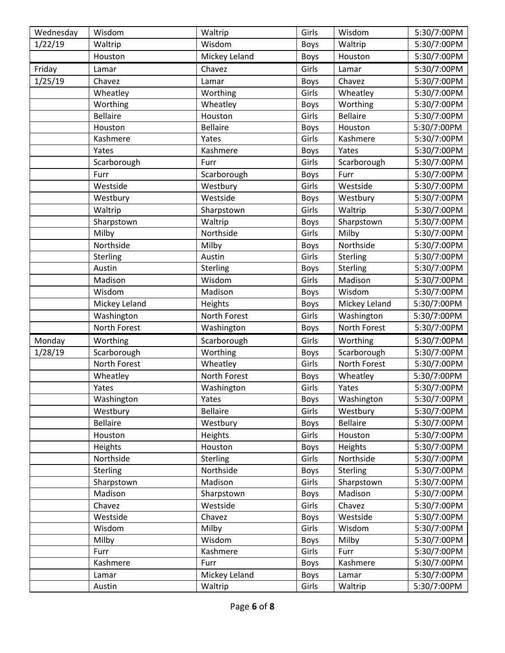| Wednesday | Wisdom          | Waltrip         | Girls       | Wisdom          | 5:30/7:00PM |
|-----------|-----------------|-----------------|-------------|-----------------|-------------|
| 1/22/19   | Waltrip         | Wisdom          | <b>Boys</b> | Waltrip         | 5:30/7:00PM |
|           | Houston         | Mickey Leland   | <b>Boys</b> | Houston         | 5:30/7:00PM |
| Friday    | Lamar           | Chavez          | Girls       | Lamar           | 5:30/7:00PM |
| 1/25/19   | Chavez          | Lamar           | Boys        | Chavez          | 5:30/7:00PM |
|           | Wheatley        | Worthing        | Girls       | Wheatley        | 5:30/7:00PM |
|           | Worthing        | Wheatley        | <b>Boys</b> | Worthing        | 5:30/7:00PM |
|           | <b>Bellaire</b> | Houston         | Girls       | <b>Bellaire</b> | 5:30/7:00PM |
|           | Houston         | <b>Bellaire</b> | Boys        | Houston         | 5:30/7:00PM |
|           | Kashmere        | Yates           | Girls       | Kashmere        | 5:30/7:00PM |
|           | Yates           | Kashmere        | <b>Boys</b> | Yates           | 5:30/7:00PM |
|           | Scarborough     | Furr            | Girls       | Scarborough     | 5:30/7:00PM |
|           | Furr            | Scarborough     | <b>Boys</b> | Furr            | 5:30/7:00PM |
|           | Westside        | Westbury        | Girls       | Westside        | 5:30/7:00PM |
|           | Westbury        | Westside        | Boys        | Westbury        | 5:30/7:00PM |
|           | Waltrip         | Sharpstown      | Girls       | Waltrip         | 5:30/7:00PM |
|           | Sharpstown      | Waltrip         | Boys        | Sharpstown      | 5:30/7:00PM |
|           | Milby           | Northside       | Girls       | Milby           | 5:30/7:00PM |
|           | Northside       | Milby           | <b>Boys</b> | Northside       | 5:30/7:00PM |
|           | Sterling        | Austin          | Girls       | Sterling        | 5:30/7:00PM |
|           | Austin          | Sterling        | <b>Boys</b> | Sterling        | 5:30/7:00PM |
|           | Madison         | Wisdom          | Girls       | Madison         | 5:30/7:00PM |
|           | Wisdom          | Madison         | Boys        | Wisdom          | 5:30/7:00PM |
|           | Mickey Leland   | Heights         | Boys        | Mickey Leland   | 5:30/7:00PM |
|           | Washington      | North Forest    | Girls       | Washington      | 5:30/7:00PM |
|           | North Forest    | Washington      | <b>Boys</b> | North Forest    | 5:30/7:00PM |
| Monday    | Worthing        | Scarborough     | Girls       | Worthing        | 5:30/7:00PM |
| 1/28/19   | Scarborough     | Worthing        | <b>Boys</b> | Scarborough     | 5:30/7:00PM |
|           | North Forest    | Wheatley        | Girls       | North Forest    | 5:30/7:00PM |
|           | Wheatley        | North Forest    | Boys        | Wheatley        | 5:30/7:00PM |
|           | Yates           | Washington      | Girls       | Yates           | 5:30/7:00PM |
|           | Washington      | Yates           | <b>Boys</b> | Washington      | 5:30/7:00PM |
|           | Westbury        | Bellaire        | Girls       | Westbury        | 5:30/7:00PM |
|           | <b>Bellaire</b> | Westbury        | <b>Boys</b> | <b>Bellaire</b> | 5:30/7:00PM |
|           | Houston         | Heights         | Girls       | Houston         | 5:30/7:00PM |
|           | Heights         | Houston         | <b>Boys</b> | Heights         | 5:30/7:00PM |
|           | Northside       | Sterling        | Girls       | Northside       | 5:30/7:00PM |
|           | <b>Sterling</b> | Northside       | Boys        | Sterling        | 5:30/7:00PM |
|           | Sharpstown      | Madison         | Girls       | Sharpstown      | 5:30/7:00PM |
|           | Madison         | Sharpstown      | Boys        | Madison         | 5:30/7:00PM |
|           | Chavez          | Westside        | Girls       | Chavez          | 5:30/7:00PM |
|           | Westside        | Chavez          | <b>Boys</b> | Westside        | 5:30/7:00PM |
|           | Wisdom          | Milby           | Girls       | Wisdom          | 5:30/7:00PM |
|           | Milby           | Wisdom          | Boys        | Milby           | 5:30/7:00PM |
|           | Furr            | Kashmere        | Girls       | Furr            | 5:30/7:00PM |
|           | Kashmere        | Furr            | <b>Boys</b> | Kashmere        | 5:30/7:00PM |
|           | Lamar           | Mickey Leland   | <b>Boys</b> | Lamar           | 5:30/7:00PM |
|           | Austin          | Waltrip         | Girls       | Waltrip         | 5:30/7:00PM |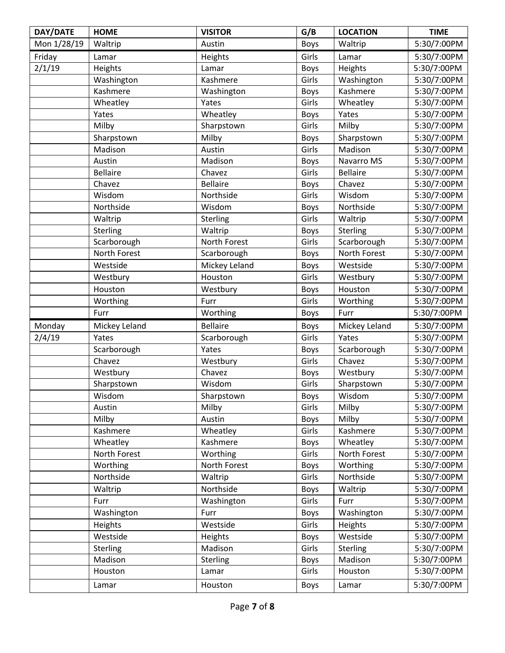| DAY/DATE    | <b>HOME</b>     | <b>VISITOR</b>  | G/B         | <b>LOCATION</b> | <b>TIME</b> |
|-------------|-----------------|-----------------|-------------|-----------------|-------------|
| Mon 1/28/19 | Waltrip         | Austin          | <b>Boys</b> | Waltrip         | 5:30/7:00PM |
| Friday      | Lamar           | Heights         | Girls       | Lamar           | 5:30/7:00PM |
| 2/1/19      | Heights         | Lamar           | <b>Boys</b> | Heights         | 5:30/7:00PM |
|             | Washington      | Kashmere        | Girls       | Washington      | 5:30/7:00PM |
|             | Kashmere        | Washington      | <b>Boys</b> | Kashmere        | 5:30/7:00PM |
|             | Wheatley        | Yates           | Girls       | Wheatley        | 5:30/7:00PM |
|             | Yates           | Wheatley        | Boys        | Yates           | 5:30/7:00PM |
|             | Milby           | Sharpstown      | Girls       | Milby           | 5:30/7:00PM |
|             | Sharpstown      | Milby           | <b>Boys</b> | Sharpstown      | 5:30/7:00PM |
|             | Madison         | Austin          | Girls       | Madison         | 5:30/7:00PM |
|             | Austin          | Madison         | Boys        | Navarro MS      | 5:30/7:00PM |
|             | <b>Bellaire</b> | Chavez          | Girls       | <b>Bellaire</b> | 5:30/7:00PM |
|             | Chavez          | <b>Bellaire</b> | <b>Boys</b> | Chavez          | 5:30/7:00PM |
|             | Wisdom          | Northside       | Girls       | Wisdom          | 5:30/7:00PM |
|             | Northside       | Wisdom          | <b>Boys</b> | Northside       | 5:30/7:00PM |
|             | Waltrip         | <b>Sterling</b> | Girls       | Waltrip         | 5:30/7:00PM |
|             | Sterling        | Waltrip         | <b>Boys</b> | Sterling        | 5:30/7:00PM |
|             | Scarborough     | North Forest    | Girls       | Scarborough     | 5:30/7:00PM |
|             | North Forest    | Scarborough     | <b>Boys</b> | North Forest    | 5:30/7:00PM |
|             | Westside        | Mickey Leland   | <b>Boys</b> | Westside        | 5:30/7:00PM |
|             | Westbury        | Houston         | Girls       | Westbury        | 5:30/7:00PM |
|             | Houston         | Westbury        | Boys        | Houston         | 5:30/7:00PM |
|             | Worthing        | Furr            | Girls       | Worthing        | 5:30/7:00PM |
|             | Furr            | Worthing        | <b>Boys</b> | Furr            | 5:30/7:00PM |
| Monday      | Mickey Leland   | <b>Bellaire</b> | <b>Boys</b> | Mickey Leland   | 5:30/7:00PM |
| 2/4/19      | Yates           | Scarborough     | Girls       | Yates           | 5:30/7:00PM |
|             | Scarborough     | Yates           | <b>Boys</b> | Scarborough     | 5:30/7:00PM |
|             | Chavez          | Westbury        | Girls       | Chavez          | 5:30/7:00PM |
|             | Westbury        | Chavez          | <b>Boys</b> | Westbury        | 5:30/7:00PM |
|             | Sharpstown      | Wisdom          | Girls       | Sharpstown      | 5:30/7:00PM |
|             | Wisdom          | Sharpstown      | Boys        | Wisdom          | 5:30/7:00PM |
|             | Austin          | Milby           | Girls       | Milby           | 5:30/7:00PM |
|             | Milby           | Austin          | <b>Boys</b> | Milby           | 5:30/7:00PM |
|             | Kashmere        | Wheatley        | Girls       | Kashmere        | 5:30/7:00PM |
|             | Wheatley        | Kashmere        | <b>Boys</b> | Wheatley        | 5:30/7:00PM |
|             | North Forest    | Worthing        | Girls       | North Forest    | 5:30/7:00PM |
|             | Worthing        | North Forest    | <b>Boys</b> | Worthing        | 5:30/7:00PM |
|             | Northside       | Waltrip         | Girls       | Northside       | 5:30/7:00PM |
|             | Waltrip         | Northside       | <b>Boys</b> | Waltrip         | 5:30/7:00PM |
|             | Furr            | Washington      | Girls       | Furr            | 5:30/7:00PM |
|             | Washington      | Furr            | <b>Boys</b> | Washington      | 5:30/7:00PM |
|             | Heights         | Westside        | Girls       | Heights         | 5:30/7:00PM |
|             | Westside        | Heights         | <b>Boys</b> | Westside        | 5:30/7:00PM |
|             | <b>Sterling</b> | Madison         | Girls       | Sterling        | 5:30/7:00PM |
|             | Madison         | <b>Sterling</b> | <b>Boys</b> | Madison         | 5:30/7:00PM |
|             | Houston         | Lamar           | Girls       | Houston         | 5:30/7:00PM |
|             | Lamar           | Houston         | Boys        | Lamar           | 5:30/7:00PM |
|             |                 |                 |             |                 |             |